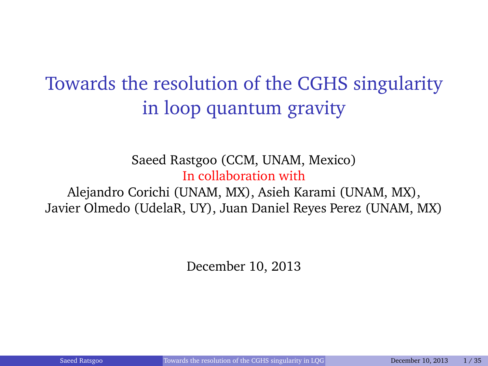### <span id="page-0-0"></span>Towards the resolution of the CGHS singularity in loop quantum gravity

#### Saeed Rastgoo (CCM, UNAM, Mexico) In collaboration with Alejandro Corichi (UNAM, MX), Asieh Karami (UNAM, MX), Javier Olmedo (UdelaR, UY), Juan Daniel Reyes Perez (UNAM, MX)

December 10, 2013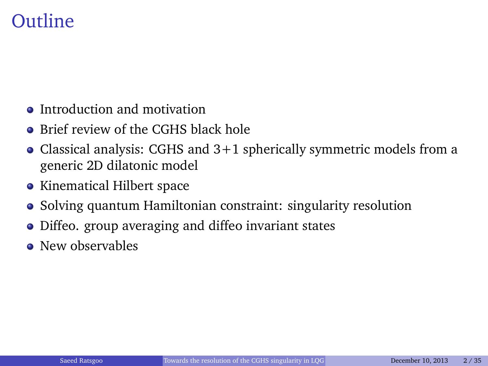#### Outline

- Introduction and motivation
- Brief review of the CGHS black hole
- Classical analysis: CGHS and 3+1 spherically symmetric models from a generic 2D dilatonic model
- Kinematical Hilbert space
- Solving quantum Hamiltonian constraint: singularity resolution
- Diffeo. group averaging and diffeo invariant states
- **•** New observables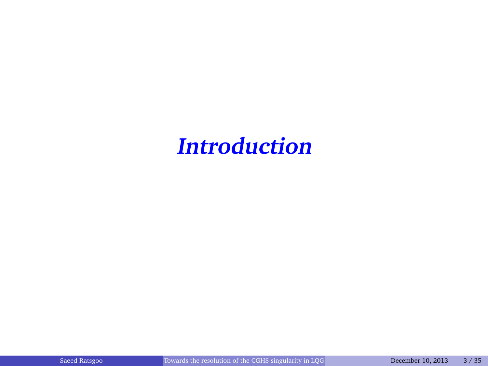# **Introduction**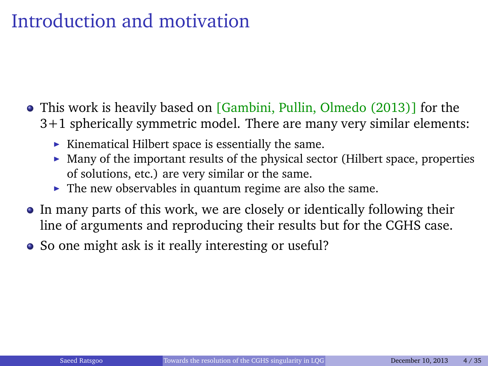#### Introduction and motivation

- $\bullet$  This work is heavily based on [Gambini, Pullin, Olmedo (2013)] for the 3+1 spherically symmetric model. There are many very similar elements:
	- $\blacktriangleright$  Kinematical Hilbert space is essentially the same.
	- $\blacktriangleright$  Many of the important results of the physical sector (Hilbert space, properties of solutions, etc.) are very similar or the same.
	- $\blacktriangleright$  The new observables in quantum regime are also the same.
- In many parts of this work, we are closely or identically following their line of arguments and reproducing their results but for the CGHS case.
- So one might ask is it really interesting or useful?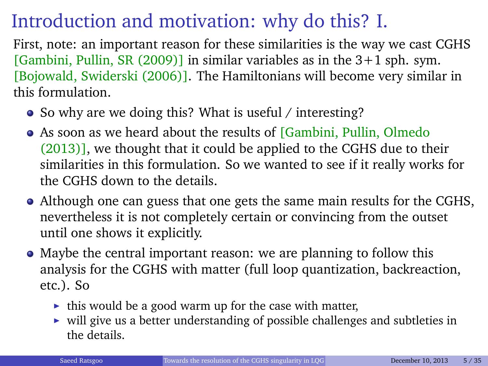#### Introduction and motivation: why do this? I.

First, note: an important reason for these similarities is the way we cast CGHS [Gambini, Pullin, SR  $(2009)$ ] in similar variables as in the  $3+1$  sph. sym. [Bojowald, Swiderski (2006)]. The Hamiltonians will become very similar in this formulation.

- So why are we doing this? What is useful / interesting?
- As soon as we heard about the results of [Gambini, Pullin, Olmedo] (2013)], we thought that it could be applied to the CGHS due to their similarities in this formulation. So we wanted to see if it really works for the CGHS down to the details.
- Although one can guess that one gets the same main results for the CGHS, nevertheless it is not completely certain or convincing from the outset until one shows it explicitly.
- Maybe the central important reason: we are planning to follow this analysis for the CGHS with matter (full loop quantization, backreaction, etc.). So
	- $\blacktriangleright$  this would be a good warm up for the case with matter,
	- $\triangleright$  will give us a better understanding of possible challenges and subtleties in the details.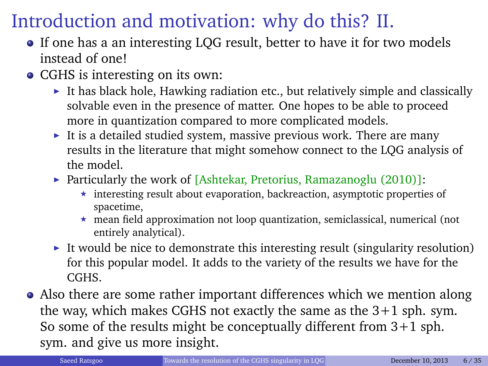#### Introduction and motivation: why do this? II.

- If one has a an interesting LQG result, better to have it for two models instead of one!
- CGHS is interesting on its own:
	- It has black hole, Hawking radiation etc., but relatively simple and classically solvable even in the presence of matter. One hopes to be able to proceed more in quantization compared to more complicated models.
	- It is a detailed studied system, massive previous work. There are many results in the literature that might somehow connect to the LQG analysis of the model.
	- Particularly the work of [Ashtekar, Pretorius, Ramazanoglu  $(2010)$ ]:
		- $\star$  interesting result about evaporation, backreaction, asymptotic properties of spacetime,
		- $\star$  mean field approximation not loop quantization, semiclassical, numerical (not entirely analytical).
	- It would be nice to demonstrate this interesting result (singularity resolution) for this popular model. It adds to the variety of the results we have for the CGHS.
- Also there are some rather important differences which we mention along the way, which makes CGHS not exactly the same as the 3+1 sph. sym. So some of the results might be conceptually different from 3+1 sph. sym. and give us more insight.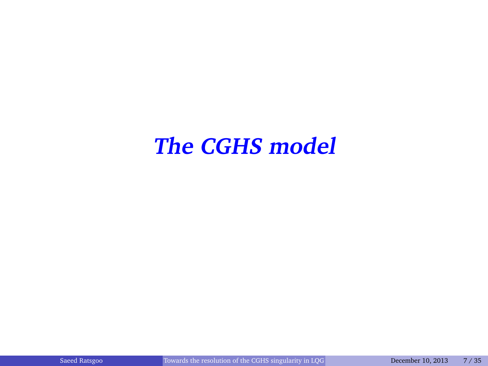## **The CGHS model**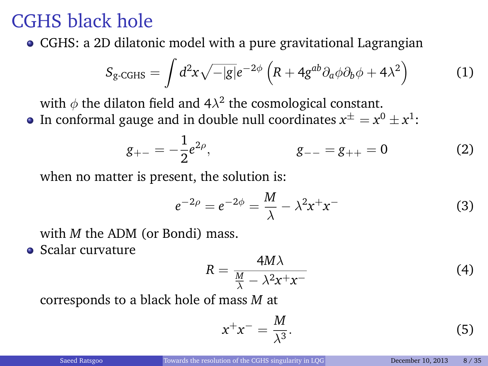#### CGHS black hole

CGHS: a 2D dilatonic model with a pure gravitational Lagrangian

$$
S_{\rm g\text{-}GHS} = \int d^2x \sqrt{-|g|} e^{-2\phi} \left( R + 4g^{ab} \partial_a \phi \partial_b \phi + 4\lambda^2 \right) \tag{1}
$$

with  $\phi$  the dilaton field and 4 $\lambda^2$  the cosmological constant.

In conformal gauge and in double null coordinates  $x^{\pm}=x^0\pm x^1$ :

$$
g_{+-} = -\frac{1}{2}e^{2\rho}, \qquad \qquad g_{--} = g_{++} = 0 \qquad (2)
$$

when no matter is present, the solution is:

$$
e^{-2\rho} = e^{-2\phi} = \frac{M}{\lambda} - \lambda^2 x^+ x^- \tag{3}
$$

with *M* the ADM (or Bondi) mass.

**•** Scalar curvature

$$
R = \frac{4M\lambda}{\frac{M}{\lambda} - \lambda^2 x^+ x^-}
$$
 (4)

corresponds to a black hole of mass *M* at

$$
x^+x^- = \frac{M}{\lambda^3}.\tag{5}
$$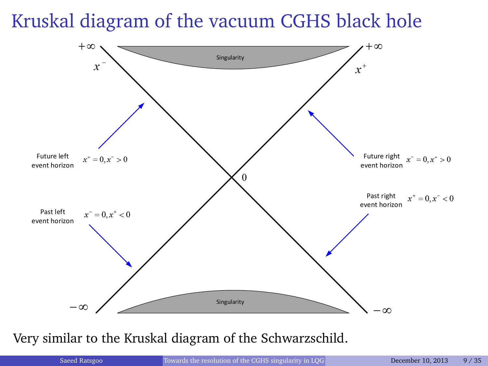#### Kruskal diagram of the vacuum CGHS black hole



Very similar to the Kruskal diagram of the Schwarzschild.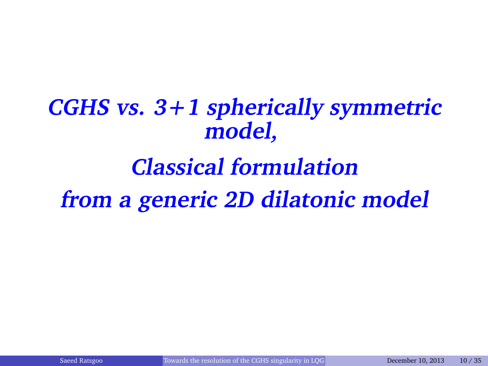**CGHS vs. 3+1 spherically symmetric model,**

# **Classical formulation from a generic 2D dilatonic model**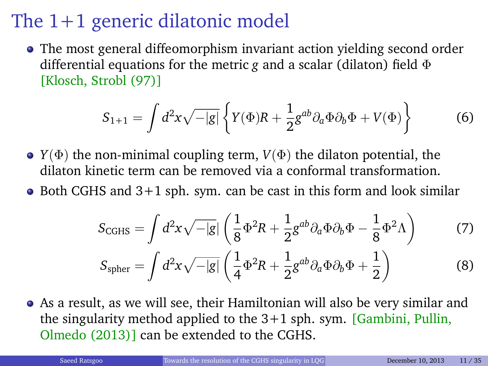#### The 1+1 generic dilatonic model

• The most general diffeomorphism invariant action yielding second order differential equations for the metric *g* and a scalar (dilaton) field Φ [Klosch, Strobl (97)]

$$
S_{1+1} = \int d^2x \sqrt{-|g|} \left\{ Y(\Phi)R + \frac{1}{2} g^{ab} \partial_a \Phi \partial_b \Phi + V(\Phi) \right\} \tag{6}
$$

- *Y*( $\Phi$ ) the non-minimal coupling term, *V*( $\Phi$ ) the dilaton potential, the dilaton kinetic term can be removed via a conformal transformation.
- $\bullet$  Both CGHS and  $3+1$  sph. sym. can be cast in this form and look similar

$$
S_{\text{CGHS}} = \int d^2x \sqrt{-|g|} \left( \frac{1}{8} \Phi^2 R + \frac{1}{2} g^{ab} \partial_a \Phi \partial_b \Phi - \frac{1}{8} \Phi^2 \Lambda \right) \tag{7}
$$

$$
S_{\text{spher}} = \int d^2x \sqrt{-|g|} \left( \frac{1}{4} \Phi^2 R + \frac{1}{2} g^{ab} \partial_a \Phi \partial_b \Phi + \frac{1}{2} \right) \tag{8}
$$

As a result, as we will see, their Hamiltonian will also be very similar and the singularity method applied to the  $3+1$  sph. sym. [Gambini, Pullin, Olmedo (2013)] can be extended to the CGHS.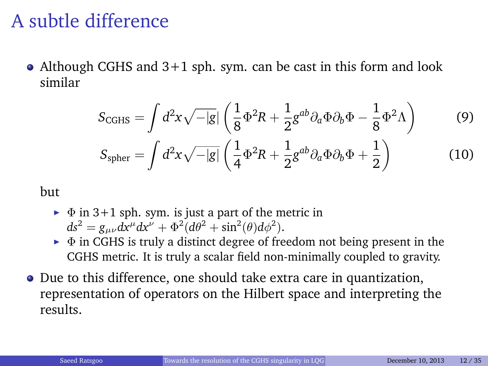#### A subtle difference

• Although CGHS and 3+1 sph. sym. can be cast in this form and look similar

$$
S_{\text{CGHS}} = \int d^2x \sqrt{-|g|} \left( \frac{1}{8} \Phi^2 R + \frac{1}{2} g^{ab} \partial_a \Phi \partial_b \Phi - \frac{1}{8} \Phi^2 \Lambda \right)
$$
(9)  

$$
S_{\text{spher}} = \int d^2x \sqrt{-|g|} \left( \frac{1}{4} \Phi^2 R + \frac{1}{2} g^{ab} \partial_a \Phi \partial_b \Phi + \frac{1}{2} \right)
$$
(10)

but

- $\blacktriangleright$   $\Phi$  in 3+1 sph. sym. is just a part of the metric in  $ds^2 = g_{\mu\nu} dx^\mu dx^\nu + \Phi^2 (d\theta^2 + \sin^2(\theta) d\phi^2).$
- $\triangleright$   $\Phi$  in CGHS is truly a distinct degree of freedom not being present in the CGHS metric. It is truly a scalar field non-minimally coupled to gravity.
- Due to this difference, one should take extra care in quantization, representation of operators on the Hilbert space and interpreting the results.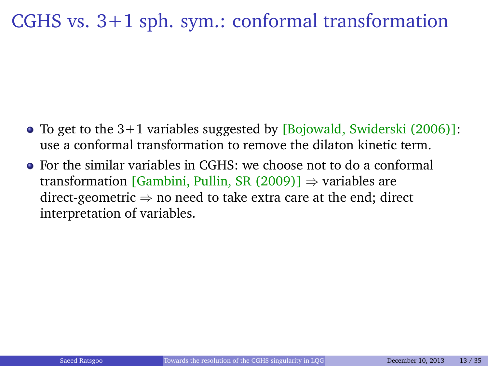#### CGHS vs. 3+1 sph. sym.: conformal transformation

- $\bullet$  To get to the 3+1 variables suggested by [Bojowald, Swiderski (2006)]: use a conformal transformation to remove the dilaton kinetic term.
- For the similar variables in CGHS: we choose not to do a conformal transformation [Gambini, Pullin, SR (2009)]  $\Rightarrow$  variables are direct-geometric  $\Rightarrow$  no need to take extra care at the end; direct interpretation of variables.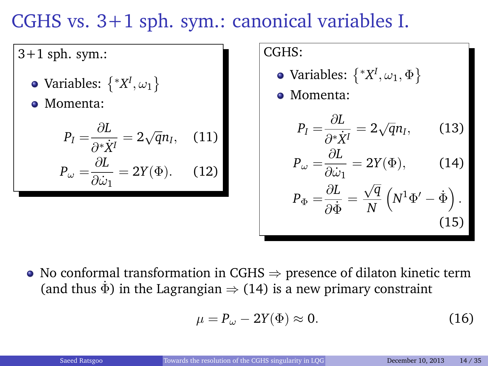#### CGHS vs. 3+1 sph. sym.: canonical variables I.

 $3+1$  sph. sym.:

- Variables:  $\left\{ \mathrm{\text{\textit{^{\circ}}} } X^{I},\omega_{1}\right\}$
- Momenta:

$$
P_I = \frac{\partial L}{\partial^* \dot{X}^I} = 2\sqrt{q}n_I, \quad (11)
$$

$$
P_\omega = \frac{\partial L}{\partial \dot{\omega}_1} = 2Y(\Phi). \quad (12)
$$

CGHS:

- Variables:  $\left\{ \ ^{\ast }X^{I},\omega _{1},\Phi \right\}$
- Momenta:

$$
P_I = \frac{\partial L}{\partial^* \dot{X}^I} = 2\sqrt{q}n_I, \qquad (13)
$$

<span id="page-13-0"></span>
$$
P_{\omega} = \frac{\partial L}{\partial \dot{\omega}_1} = 2Y(\Phi), \quad (14)
$$

$$
P_{\Phi} = \frac{\partial L}{\partial \dot{\Phi}} = \frac{\sqrt{q}}{N} \left( N^1 \Phi' - \dot{\Phi} \right). \tag{15}
$$

• No conformal transformation in CGHS  $\Rightarrow$  presence of dilaton kinetic term (and thus  $\dot{\Phi}$ ) in the Lagrangian  $\Rightarrow$  [\(14\)](#page-13-0) is a new primary constraint

$$
\mu = P_{\omega} - 2Y(\Phi) \approx 0. \tag{16}
$$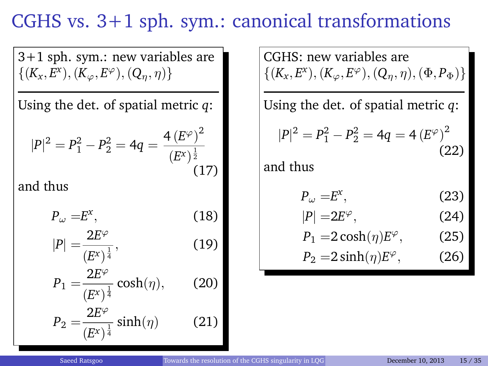#### CGHS vs. 3+1 sph. sym.: canonical transformations

3+1 sph. sym.: new variables are  $\{(K_x, E^x), (K_{\varphi}, E^{\varphi}), (Q_{\eta}, \eta)\}$ 

Using the det. of spatial metric *q*:

$$
|P|^2 = P_1^2 - P_2^2 = 4q = \frac{4 (E^{\varphi})^2}{(E^x)^{\frac{1}{2}}}
$$
\n(17)

and thus

$$
P_{\omega} = E^x, \tag{18}
$$

$$
|P| = \frac{2E^{\varphi}}{(E^x)^{\frac{1}{4}}},\tag{19}
$$

$$
P_1 = \frac{2E^{\varphi}}{(E^x)^{\frac{1}{4}}} \cosh(\eta), \qquad (20)
$$

$$
P_2 = \frac{2E^{\varphi}}{(E^x)^{\frac{1}{4}}} \sinh(\eta) \tag{21}
$$

CGHS: new variables are  $\{(K_x, E^x), (K_{\varphi}, E^{\varphi}), (Q_{\eta}, \eta), (\Phi, P_{\Phi})\}$ 

Using the det. of spatial metric *q*:

$$
|P|^2 = P_1^2 - P_2^2 = 4q = 4(E^{\varphi})^2
$$
\n(22)

and thus

$$
P_{\omega} = E^x, \tag{23}
$$

$$
|P| = 2E^{\varphi}, \tag{24}
$$

$$
P_1 = 2\cosh(\eta)E^{\varphi}, \qquad (25)
$$

$$
P_2 = 2\sinh(\eta)E^{\varphi}, \qquad (26)
$$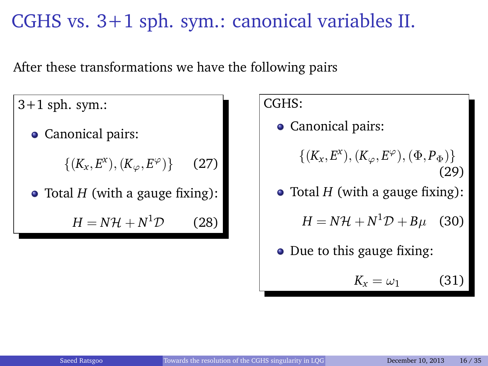#### CGHS vs. 3+1 sph. sym.: canonical variables II.

After these transformations we have the following pairs

 $3+1$  sph. sym.:

• Canonical pairs:

 $\{(K_x, E^x), (K_\varphi, E^\varphi)\}$  $(27)$ 

• Total *H* (with a gauge fixing):

 $H = N\mathcal{H} + N^1\mathcal{D}$  $(28)$  CGHS:

• Canonical pairs:

 $\{(K_x, E^x), (K_\varphi, E^\varphi), (\Phi, P_\Phi)\}$ (29)

- Total *H* (with a gauge fixing):
	- $H = N\mathcal{H} + N^1\mathcal{D} + B\mu$  (30)
- Due to this gauge fixing:

$$
K_x = \omega_1 \tag{31}
$$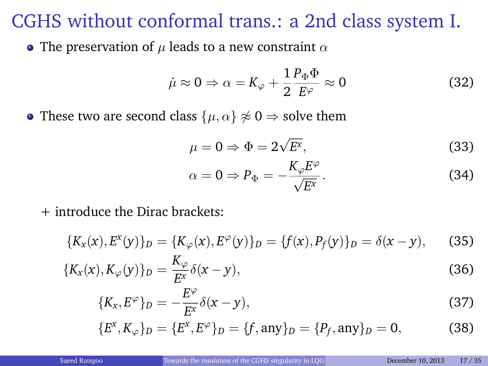#### CGHS without conformal trans.: a 2nd class system I.

• The preservation of  $\mu$  leads to a new constraint  $\alpha$ 

$$
\dot{\mu} \approx 0 \Rightarrow \alpha = K_{\varphi} + \frac{1}{2} \frac{P_{\Phi} \Phi}{E^{\varphi}} \approx 0 \tag{32}
$$

• These two are second class  $\{\mu, \alpha\} \not\approx 0 \Rightarrow$  solve them

$$
\mu = 0 \Rightarrow \Phi = 2\sqrt{E^x},\tag{33}
$$

$$
\alpha = 0 \Rightarrow P_{\Phi} = -\frac{K_{\varphi}E^{\varphi}}{\sqrt{E^x}}.
$$
\n(34)

+ introduce the Dirac brackets:

$$
\{K_x(x), E^x(y)\}_D = \{K_\varphi(x), E^\varphi(y)\}_D = \{f(x), P_f(y)\}_D = \delta(x - y), \quad (35)
$$

$$
\{K_x(x), K_\varphi(y)\}_D = \frac{K_\varphi}{E^x} \delta(x - y),\tag{36}
$$

$$
\{K_x, E^{\varphi}\}_D = -\frac{E^{\varphi}}{E^x} \delta(x - y),\tag{37}
$$

$$
\{E^x, K_{\varphi}\}_D = \{E^x, E^{\varphi}\}_D = \{f, \text{any}\}_D = \{P_f, \text{any}\}_D = 0,\tag{38}
$$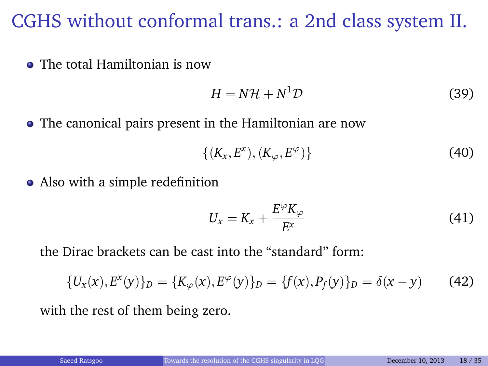#### CGHS without conformal trans.: a 2nd class system II.

The total Hamiltonian is now

$$
H = N\mathcal{H} + N^1 \mathcal{D} \tag{39}
$$

The canonical pairs present in the Hamiltonian are now

$$
\{(K_x, E^x), (K_\varphi, E^\varphi)\}\tag{40}
$$

• Also with a simple redefinition

$$
U_x = K_x + \frac{E^{\varphi} K_{\varphi}}{E^x} \tag{41}
$$

the Dirac brackets can be cast into the "standard" form:

$$
\{U_x(x), E^x(y)\}_D = \{K_\varphi(x), E^\varphi(y)\}_D = \{f(x), P_f(y)\}_D = \delta(x - y)
$$
(42)

with the rest of them being zero.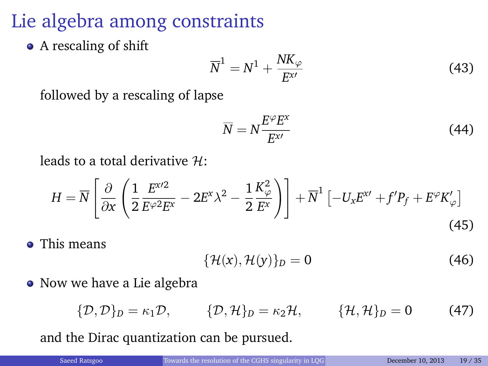Lie algebra among constraints

• A rescaling of shift

$$
\overline{N}^1 = N^1 + \frac{NK_{\varphi}}{E^{\chi'}} \tag{43}
$$

followed by a rescaling of lapse

$$
\overline{N} = N \frac{E^{\varphi} E^{\mathrm{x}}}{E^{\mathrm{x}}} \tag{44}
$$

leads to a total derivative H:

$$
H = \overline{N} \left[ \frac{\partial}{\partial x} \left( \frac{1}{2} \frac{E^{x/2}}{E^{\varphi 2} E^x} - 2E^x \lambda^2 - \frac{1}{2} \frac{K_{\varphi}^2}{E^x} \right) \right] + \overline{N}^1 \left[ -U_x E^{x/2} + f' P_f + E^{\varphi} K_{\varphi}' \right]
$$
\n(45)

• This means

$$
\{\mathcal{H}(x),\mathcal{H}(y)\}_D=0\tag{46}
$$

• Now we have a Lie algebra

$$
\{\mathcal{D},\mathcal{D}\}_D=\kappa_1\mathcal{D},\qquad \{\mathcal{D},\mathcal{H}\}_D=\kappa_2\mathcal{H},\qquad \{\mathcal{H},\mathcal{H}\}_D=0\qquad \quad \text{(47)}
$$

and the Dirac quantization can be pursued.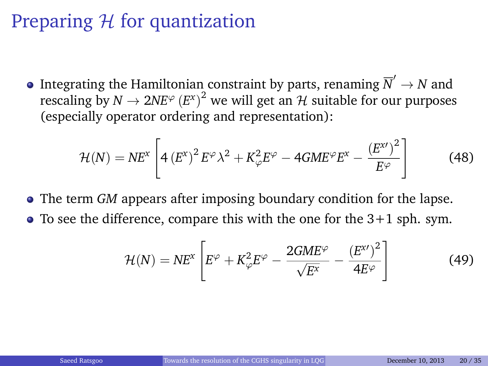#### Preparing  $H$  for quantization

Integrating the Hamiltonian constraint by parts, renaming  $\overline{N}' \to N$  and rescaling by  $N \to 2NE^{\varphi}(E^x)^2$  we will get an  $\mathcal H$  suitable for our purposes (especially operator ordering and representation):

$$
\mathcal{H}(N) = NE^{x} \left[ 4 \left( E^{x} \right)^{2} E^{\varphi} \lambda^{2} + K_{\varphi}^{2} E^{\varphi} - 4 G M E^{\varphi} E^{x} - \frac{\left( E^{x \prime} \right)^{2}}{E^{\varphi}} \right]
$$
(48)

- The term *GM* appears after imposing boundary condition for the lapse.
- $\bullet$  To see the difference, compare this with the one for the 3+1 sph. sym.

$$
\mathcal{H}(N) = NE^{x} \left[ E^{\varphi} + K_{\varphi}^{2} E^{\varphi} - \frac{2GME^{\varphi}}{\sqrt{E^{x}}} - \frac{(E^{x})^{2}}{4E^{\varphi}} \right]
$$
(49)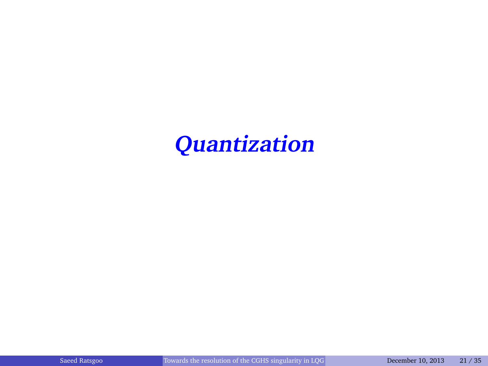**Quantization**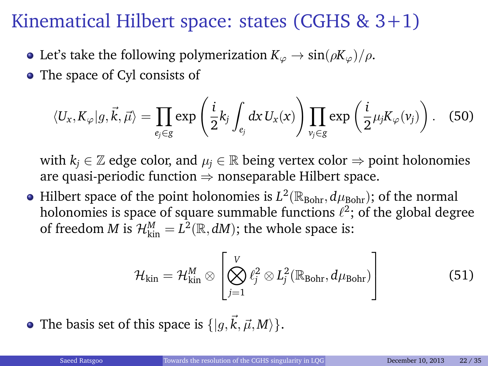#### Kinematical Hilbert space: states (CGHS & 3+1)

- Let's take the following polymerization  $K_{\varphi} \to \sin(\rho K_{\varphi})/\rho$ .
- The space of Cyl consists of

$$
\langle U_x, K_{\varphi}|g, \vec{k}, \vec{\mu} \rangle = \prod_{e_j \in g} \exp\left(\frac{i}{2}k_j \int_{e_j} dx \, U_x(x)\right) \prod_{v_j \in g} \exp\left(\frac{i}{2} \mu_j K_{\varphi}(v_j)\right). \tag{50}
$$

with  $k_i \in \mathbb{Z}$  edge color, and  $\mu_i \in \mathbb{R}$  being vertex color  $\Rightarrow$  point holonomies are quasi-periodic function  $\Rightarrow$  nonseparable Hilbert space.

Hilbert space of the point holonomies is  $L^2(\mathbb{R}_{\text{Bohr}}, d\mu_{\text{Bohr}})$ ; of the normal holonomies is space of square summable functions  $\ell^2;$  of the global degree of freedom *M* is  $\mathcal{H}_{kin}^M = L^2(\mathbb{R}, dM)$ ; the whole space is:

$$
\mathcal{H}_{\text{kin}} = \mathcal{H}_{\text{kin}}^{M} \otimes \left[ \bigotimes_{j=1}^{V} \ell_{j}^{2} \otimes L_{j}^{2}(\mathbb{R}_{\text{Bohr}}, d\mu_{\text{Bohr}}) \right]
$$
(51)

• The basis set of this space is  $\{|q,\vec{k},\vec{\mu},M\rangle\}$ .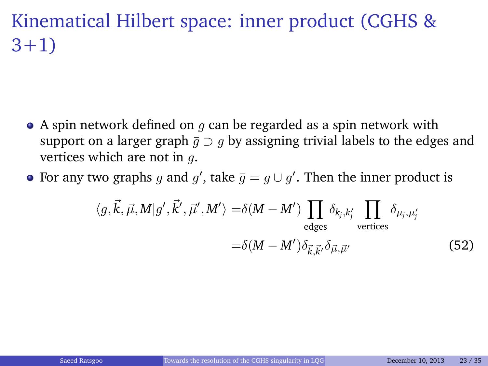#### Kinematical Hilbert space: inner product (CGHS & 3+1)

- $\bullet$  A spin network defined on q can be regarded as a spin network with support on a larger graph  $\bar{g} \supset g$  by assigning trivial labels to the edges and vertices which are not in g.
- For any two graphs g and g', take  $\bar{g} = g \cup g'$ . Then the inner product is

$$
\langle g, \vec{k}, \vec{\mu}, M | g', \vec{k}', \vec{\mu}', M' \rangle = \delta(M - M') \prod_{\text{edges}} \delta_{k_j, k'_j} \prod_{\text{vertices}} \delta_{\mu_j, \mu'_j}
$$
  

$$
= \delta(M - M') \delta_{\vec{k}, \vec{k}'} \delta_{\vec{\mu}, \vec{\mu}'} \qquad (52)
$$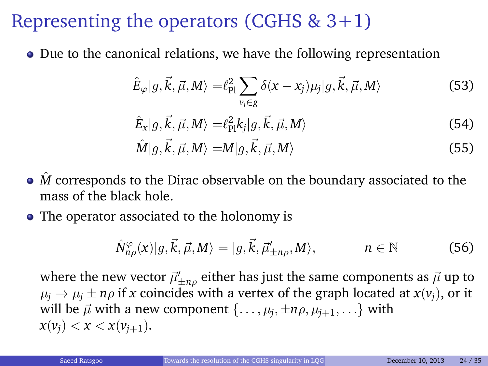#### Representing the operators (CGHS  $& 3+1$ )

Due to the canonical relations, we have the following representation

$$
\hat{E}_{\varphi}|g,\vec{k},\vec{\mu},M\rangle = \ell_{\text{Pl}}^2 \sum_{\nu_j \in g} \delta(x-x_j)\mu_j|g,\vec{k},\vec{\mu},M\rangle \tag{53}
$$

$$
\hat{E}_x|g,\vec{k},\vec{\mu},M\rangle = \ell_{\text{Pl}}^2 k_j|g,\vec{k},\vec{\mu},M\rangle \tag{54}
$$

$$
\hat{M}|g,\vec{k},\vec{\mu},M\rangle = M|g,\vec{k},\vec{\mu},M\rangle \tag{55}
$$

- *M* corresponds to the Dirac observable on the boundary associated to the mass of the black hole.
- The operator associated to the holonomy is

$$
\hat{N}_{n\rho}^{\varphi}(x)|g,\vec{k},\vec{\mu},M\rangle=|g,\vec{k},\vec{\mu}'_{\pm n\rho},M\rangle,\qquad n\in\mathbb{N}\tag{56}
$$

where the new vector  $\vec{\mu}'_{\pm n \rho}$  either has just the same components as  $\vec{\mu}$  up to  $\mu_i \rightarrow \mu_i \pm n\rho$  if *x* coincides with a vertex of the graph located at  $x(v_i)$ , or it will be  $\vec{\mu}$  with a new component  $\{\ldots,\mu_j,\pm n\rho,\mu_{j+1},\ldots\}$  with  $x(v_i) < x < x(v_{i+1}).$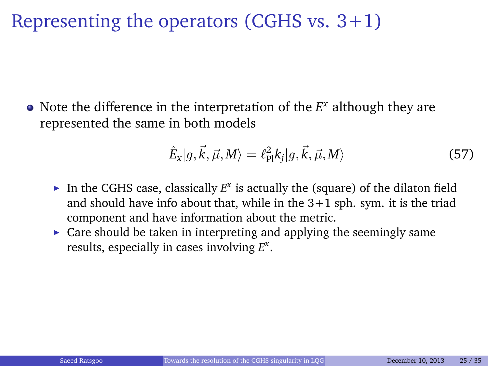#### Representing the operators (CGHS vs.  $3+1$ )

Note the difference in the interpretation of the *E <sup>x</sup>* although they are represented the same in both models

$$
\hat{E}_x|g,\vec{k},\vec{\mu},M\rangle = \ell_{\text{Pl}}^2 k_j|g,\vec{k},\vec{\mu},M\rangle \tag{57}
$$

- In the CGHS case, classically  $E^x$  is actually the (square) of the dilaton field and should have info about that, while in the  $3+1$  sph. sym. it is the triad component and have information about the metric.
- $\triangleright$  Care should be taken in interpreting and applying the seemingly same results, especially in cases involving *E x* .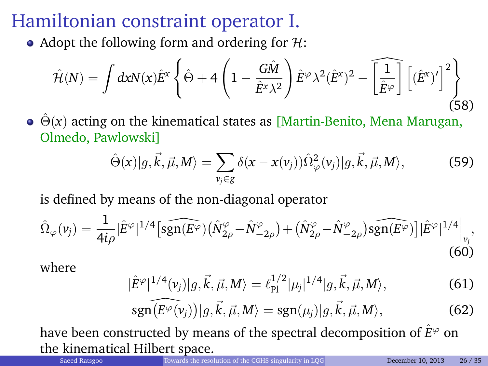#### Hamiltonian constraint operator I.

• Adopt the following form and ordering for  $H$ :

$$
\hat{\mathcal{H}}(N) = \int dx N(x) \hat{E}^{x} \left\{ \hat{\Theta} + 4 \left( 1 - \frac{G\hat{M}}{\hat{E}^{x} \lambda^{2}} \right) \hat{E}^{\varphi} \lambda^{2} (\hat{E}^{x})^{2} - \widehat{\left[ \frac{1}{\hat{E}^{\varphi}} \right]} \left[ (\hat{E}^{x})' \right]^{2} \right\}
$$
(58)

 $\hat{\Theta}(x)$  acting on the kinematical states as [Martin-Benito, Mena Marugan, Olmedo, Pawlowski]

$$
\hat{\Theta}(x)|g,\vec{k},\vec{\mu},M\rangle = \sum_{\nu_j\in g} \delta(x-x(\nu_j))\hat{\Omega}_{\varphi}^2(\nu_j)|g,\vec{k},\vec{\mu},M\rangle,\tag{59}
$$

is defined by means of the non-diagonal operator

$$
\hat{\Omega}_{\varphi}(\nu_j) = \frac{1}{4i\rho} |\hat{E}^{\varphi}|^{1/4} \left[ \widehat{\text{sgn}(E^{\varphi})} \big( \hat{N}_{2\rho}^{\varphi} - \hat{N}_{-2\rho}^{\varphi} \big) + \big( \hat{N}_{2\rho}^{\varphi} - \hat{N}_{-2\rho}^{\varphi} \big) \widehat{\text{sgn}(E^{\varphi})} \right] |\hat{E}^{\varphi}|^{1/4} \Big|_{\nu_j},\tag{60}
$$

where

$$
|\hat{E}^{\varphi}|^{1/4}(v_j)|g,\vec{k},\vec{\mu},M\rangle = \ell_{\rm Pl}^{1/2}|\mu_j|^{1/4}|g,\vec{k},\vec{\mu},M\rangle, \tag{61}
$$

$$
\widehat{\text{sgn}(\mathcal{F}^{\varphi}(\nu_j))}|g,\vec{k},\vec{\mu},M\rangle = \text{sgn}(\mu_j)|g,\vec{k},\vec{\mu},M\rangle,\tag{62}
$$

have been constructed by means of the spectral decomposition of  $\hat{E}^{\varphi}$  on the kinematical Hilbert space.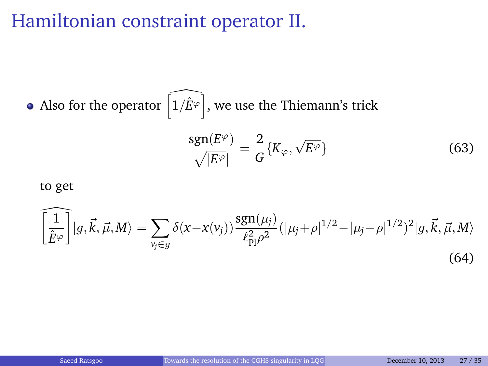#### Hamiltonian constraint operator II.

Also for the operator  $\widehat{\left(1/\hat{E}^{\varphi}\right)}$ , we use the Thiemann's trick

$$
\frac{\text{sgn}(E^{\varphi})}{\sqrt{|E^{\varphi}|}} = \frac{2}{G} \{ K_{\varphi}, \sqrt{E^{\varphi}} \}
$$
(63)

#### to get

$$
\widehat{\left[\frac{1}{\hat{E}^{\varphi}}\right]}|g,\vec{k},\vec{\mu},M\rangle = \sum_{v_j \in g} \delta(x-x(v_j)) \frac{\text{sgn}(\mu_j)}{\ell_{\text{Pl}}^2 \rho^2} (|\mu_j + \rho|^{1/2} - |\mu_j - \rho|^{1/2})^2 |g,\vec{k},\vec{\mu},M\rangle \tag{64}
$$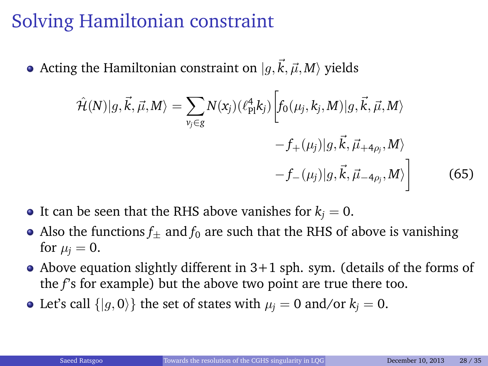#### Solving Hamiltonian constraint

• Acting the Hamiltonian constraint on  $|q,\vec{k}, \vec{\mu}, M\rangle$  yields

<span id="page-27-0"></span>
$$
\hat{\mathcal{H}}(N)|g,\vec{k},\vec{\mu},M\rangle = \sum_{\nu_j \in g} N(x_j) (\ell_{\text{Pl}}^4 k_j) \left[ f_0(\mu_j,k_j,M) | g,\vec{k},\vec{\mu},M\rangle \right. \\
\left. - f_+(\mu_j) | g,\vec{k},\vec{\mu}_{+4\rho_j},M\rangle \right. \\
\left. - f_-(\mu_j) | g,\vec{k},\vec{\mu}_{-4\rho_j},M\rangle \right] \tag{65}
$$

- It can be seen that the RHS above vanishes for  $k_i = 0$ .
- Also the functions  $f_{+}$  and  $f_{0}$  are such that the RHS of above is vanishing for  $\mu_i = 0$ .
- Above equation slightly different in  $3+1$  sph. sym. (details of the forms of the *f*'s for example) but the above two point are true there too.
- Let's call  $\{|q, 0\rangle\}$  the set of states with  $\mu_i = 0$  and/or  $k_i = 0$ .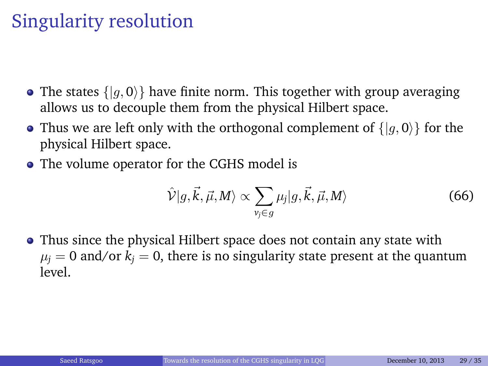#### Singularity resolution

- The states  $\{|q, 0\rangle\}$  have finite norm. This together with group averaging allows us to decouple them from the physical Hilbert space.
- Thus we are left only with the orthogonal complement of  $\{|g, 0\rangle\}$  for the physical Hilbert space.
- The volume operator for the CGHS model is

$$
\hat{\mathcal{V}}|g,\vec{k},\vec{\mu},M\rangle \propto \sum_{\nu_j\in g} \mu_j|g,\vec{k},\vec{\mu},M\rangle
$$
\n(66)

• Thus since the physical Hilbert space does not contain any state with  $\mu_i = 0$  and/or  $k_i = 0$ , there is no singularity state present at the quantum level.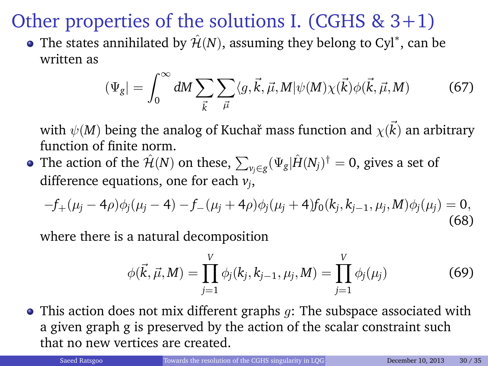#### Other properties of the solutions I. (CGHS  $& 3+1$ )

The states annihilated by  $\hat{\mathcal{H}}(N)$ , assuming they belong to Cyl $^*$ , can be written as

$$
(\Psi_g| = \int_0^\infty dM \sum_{\vec{k}} \sum_{\vec{\mu}} \langle g, \vec{k}, \vec{\mu}, M | \psi(M) \chi(\vec{k}) \phi(\vec{k}, \vec{\mu}, M) \tag{67}
$$

with  $\psi(M)$  being the analog of Kuchař mass function and  $\chi(\vec{k})$  an arbitrary function of finite norm.

The action of the  $\hat{\mathcal{H}}(N)$  on these,  $\sum_{\nu_j\in g}(\Psi_g|\hat{H}(N_j)^\dag=0,$  gives a set of difference equations, one for each *v<sup>j</sup>* ,

$$
-f_{+}(\mu_j - 4\rho)\phi_j(\mu_j - 4) - f_{-}(\mu_j + 4\rho)\phi_j(\mu_j + 4)f_0(k_j, k_{j-1}, \mu_j, M)\phi_j(\mu_j) = 0,
$$
\n(68)

where there is a natural decomposition

$$
\phi(\vec{k}, \vec{\mu}, M) = \prod_{j=1}^{V} \phi_j(k_j, k_{j-1}, \mu_j, M) = \prod_{j=1}^{V} \phi_j(\mu_j)
$$
(69)

 $\bullet$  This action does not mix different graphs  $q$ : The subspace associated with a given graph g is preserved by the action of the scalar constraint such that no new vertices are created.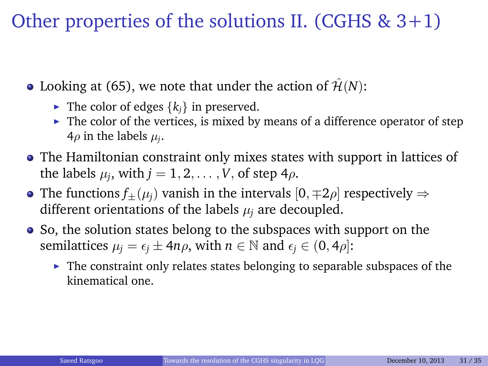#### Other properties of the solutions II. (CGHS  $& 3+1$ )

• Looking at [\(65\)](#page-27-0), we note that under the action of  $\hat{\mathcal{H}}(N)$ :

- If The color of edges  $\{k_i\}$  in preserved.
- $\blacktriangleright$  The color of the vertices, is mixed by means of a difference operator of step  $4\rho$  in the labels  $\mu_i$ .
- The Hamiltonian constraint only mixes states with support in lattices of the labels  $\mu_j$ , with  $j=1,2,\ldots,V$ , of step 4 $\rho$ .
- The functions  $f_{\pm}(\mu_i)$  vanish in the intervals  $[0, \pm 2\rho]$  respectively  $\Rightarrow$ different orientations of the labels  $\mu_i$  are decoupled.
- So, the solution states belong to the subspaces with support on the semilattices  $\mu_j = \epsilon_j \pm 4n\rho$ , with  $n \in \mathbb{N}$  and  $\epsilon_j \in (0, 4\rho)$ :
	- $\blacktriangleright$  The constraint only relates states belonging to separable subspaces of the kinematical one.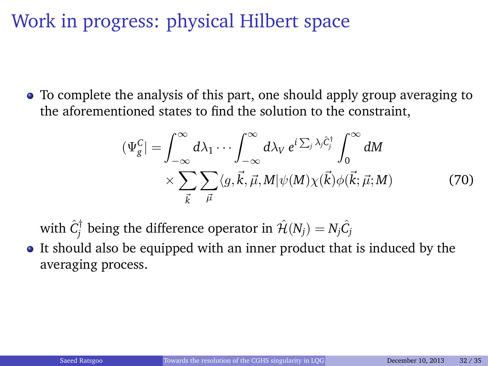#### Work in progress: physical Hilbert space

To complete the analysis of this part, one should apply group averaging to the aforementioned states to find the solution to the constraint,

$$
\left(\Psi_{g}^{C}\right) = \int_{-\infty}^{\infty} d\lambda_{1} \cdots \int_{-\infty}^{\infty} d\lambda_{V} e^{i \sum_{j} \lambda_{j} \hat{C}_{j}^{\dagger}} \int_{0}^{\infty} dM
$$
\n
$$
\times \sum_{\vec{k}} \sum_{\vec{\mu}} \langle g, \vec{k}, \vec{\mu}, M | \psi(M) \chi(\vec{k}) \phi(\vec{k}; \vec{\mu}; M) \tag{70}
$$

with  $\hat{C}^{\dagger}_j$  being the difference operator in  $\hat{\mathcal{H}}(N_j) = N_j \hat{C}_j$ 

• It should also be equipped with an inner product that is induced by the averaging process.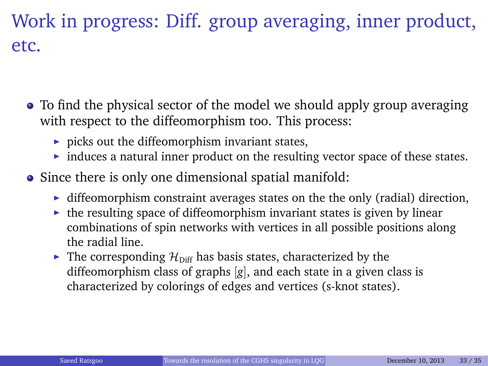### Work in progress: Diff. group averaging, inner product, etc.

- To find the physical sector of the model we should apply group averaging with respect to the diffeomorphism too. This process:
	- $\triangleright$  picks out the diffeomorphism invariant states,
	- $\triangleright$  induces a natural inner product on the resulting vector space of these states.
- Since there is only one dimensional spatial manifold:
	- $\blacktriangleright$  diffeomorphism constraint averages states on the the only (radial) direction,
	- $\triangleright$  the resulting space of diffeomorphism invariant states is given by linear combinations of spin networks with vertices in all possible positions along the radial line.
	- $\blacktriangleright$  The corresponding  $\mathcal{H}_{\text{Diff}}$  has basis states, characterized by the diffeomorphism class of graphs [*g*], and each state in a given class is characterized by colorings of edges and vertices (s-knot states).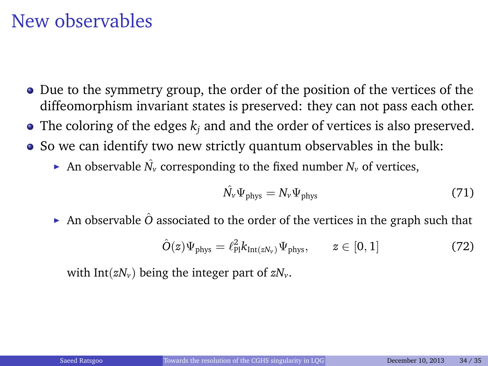#### New observables

- Due to the symmetry group, the order of the position of the vertices of the diffeomorphism invariant states is preserved: they can not pass each other.
- $\bullet$  The coloring of the edges  $k_i$  and and the order of vertices is also preserved.
- So we can identify two new strictly quantum observables in the bulk:
	- An observable  $\hat{N}_\nu$  corresponding to the fixed number  $N_\nu$  of vertices,

$$
\hat{N_v} \Psi_{\text{phys}} = N_v \Psi_{\text{phys}} \tag{71}
$$

An observable  $\hat{O}$  associated to the order of the vertices in the graph such that

$$
\hat{O}(z)\Psi_{\text{phys}} = \ell_{\text{Pl}}^2 k_{\text{Int}(zN_v)} \Psi_{\text{phys}}, \qquad z \in [0, 1] \tag{72}
$$

with Int( $zN_v$ ) being the integer part of  $zN_v$ .